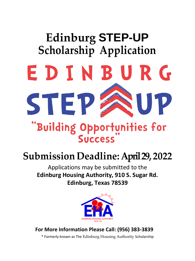# **Edinburg STEP-UP Scholarship Application** EDINBURG STEP P "Building Opportunities for **Success**

# **Submission Deadline: April 29, 2022**

Applications may be submitted to the **Edinburg Housing Authority, 910 S. Sugar Rd. Edinburg, Texas 78539**



**For More Information Please Call: (956) 383-3839**

\* Formerly known as The Edinburg Housing Authority Scholarship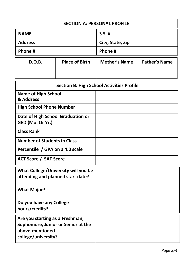| <b>SECTION A: PERSONAL PROFILE</b>                    |                       |                      |                      |  |
|-------------------------------------------------------|-----------------------|----------------------|----------------------|--|
| <b>NAME</b>                                           |                       | $S.S.$ #             |                      |  |
| <b>Address</b>                                        |                       | City, State, Zip     |                      |  |
| Phone #                                               |                       | Phone #              |                      |  |
| <b>D.O.B.</b>                                         | <b>Place of Birth</b> | <b>Mother's Name</b> | <b>Father's Name</b> |  |
|                                                       |                       |                      |                      |  |
| <b>Section B: High School Activities Profile</b>      |                       |                      |                      |  |
| <b>Name of High School</b><br>& Address               |                       |                      |                      |  |
| <b>High School Phone Number</b>                       |                       |                      |                      |  |
| Date of High School Graduation or<br>GED (Mo. Or Yr.) |                       |                      |                      |  |
| <b>Class Rank</b>                                     |                       |                      |                      |  |
| <b>Number of Students in Class</b>                    |                       |                      |                      |  |
| Percentile / GPA on a 4.0 scale                       |                       |                      |                      |  |
| <b>ACT Score / SAT Score</b>                          |                       |                      |                      |  |

| What College/University will you be<br>attending and planned start date? |  |
|--------------------------------------------------------------------------|--|
| <b>What Major?</b>                                                       |  |
| Do you have any College                                                  |  |
| hours/credits?                                                           |  |
| Are you starting as a Freshman,                                          |  |
| Sophomore, Junior or Senior at the                                       |  |
| above-mentioned                                                          |  |
| college/university?                                                      |  |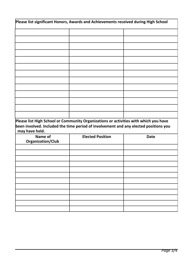| Please list significant Honors, Awards and Achievements received during High School                    |                                                                                      |             |
|--------------------------------------------------------------------------------------------------------|--------------------------------------------------------------------------------------|-------------|
|                                                                                                        |                                                                                      |             |
|                                                                                                        |                                                                                      |             |
|                                                                                                        |                                                                                      |             |
|                                                                                                        |                                                                                      |             |
|                                                                                                        |                                                                                      |             |
|                                                                                                        |                                                                                      |             |
|                                                                                                        |                                                                                      |             |
|                                                                                                        |                                                                                      |             |
|                                                                                                        |                                                                                      |             |
|                                                                                                        |                                                                                      |             |
|                                                                                                        |                                                                                      |             |
|                                                                                                        |                                                                                      |             |
|                                                                                                        |                                                                                      |             |
| Please list High School or Community Organizations or activities with which you have<br>may have held. | been involved. Included the time period of involvement and any elected positions you |             |
| Name of<br><b>Organization/Club</b>                                                                    | <b>Elected Position</b>                                                              | <b>Date</b> |
|                                                                                                        |                                                                                      |             |
|                                                                                                        |                                                                                      |             |
|                                                                                                        |                                                                                      |             |
|                                                                                                        |                                                                                      |             |
|                                                                                                        |                                                                                      |             |
|                                                                                                        |                                                                                      |             |
|                                                                                                        |                                                                                      |             |
|                                                                                                        |                                                                                      |             |
|                                                                                                        |                                                                                      |             |
|                                                                                                        |                                                                                      |             |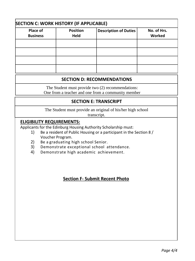| <b>SECTION C: WORK HISTORY (IF APPLICABLE)</b> |                         |                              |                       |  |  |
|------------------------------------------------|-------------------------|------------------------------|-----------------------|--|--|
| Place of<br><b>Business</b>                    | <b>Position</b><br>Held | <b>Description of Duties</b> | No. of Hrs.<br>Worked |  |  |
|                                                |                         |                              |                       |  |  |
|                                                |                         |                              |                       |  |  |
|                                                |                         |                              |                       |  |  |
|                                                |                         |                              |                       |  |  |

#### **SECTION D: RECOMMENDATIONS**

The Student must provide two (2) recommendations: One from a teacher and one from a community member

#### **SECTION E: TRANSCRIPT**

The Student must provide an original of his/her high school

transcript.

#### **ELIGIBILITY REQUIREMENTS:**

Applicants for the Edinburg Housing Authority Scholarship must:

- 1) Be a resident of Public Housing or a participant in the Section 8 / Voucher Program.
- 2) Be a graduating high school Senior.
- 3) Demonstrate exceptional school attendance.
- 4) Demonstrate high academic achievement.

## **Section F- Submit Recent Photo**